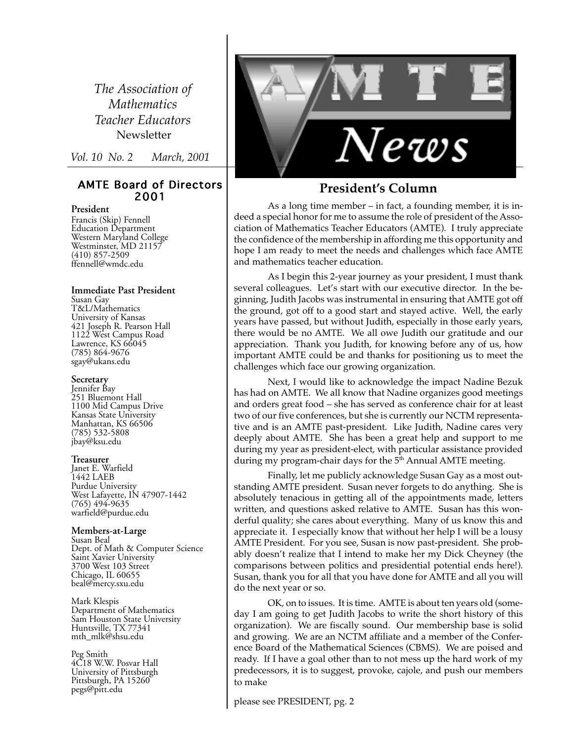*The Association of Mathematics Teacher Educators* Newsletter

*Vol. 10 No. 2 March, 2001*

#### AMTE Board of Directors 2001

#### **President**

Francis (Skip) Fennell Education Department Western Maryland College Westminster, MD 21157 (410) 857-2509 ffennell@wmdc.edu

**Immediate Past President** Susan Gay T&L/Mathematics

University of Kansas 421 Joseph R. Pearson Hall 1122 West Campus Road Lawrence, KS 66045 (785) 864-9676 sgay@ukans.edu

#### **Secretary**

Jennifer Bay 251 Bluemont Hall 1100 Mid Campus Drive Kansas State University Manhattan, KS 66506 (785) 532-5808 jbay@ksu.edu

#### **Treasurer**

Janet E. Warfield 1442 LAEB Purdue University West Lafayette, IN 47907-1442 (765) 494-9635 warfield@purdue.edu

#### **Members-at-Large**

Susan Beal Dept. of Math & Computer Science Saint Xavier University 3700 West 103 Street Chicago, IL 60655 beal@mercy.sxu.edu

Mark Klespis Department of Mathematics Sam Houston State University Huntsville, TX 77341 mth\_mlk@shsu.edu

Peg Smith 4C18 W.W. Posvar Hall University of Pittsburgh Pittsburgh, PA 15260 pegs@pitt.edu



#### **President's Column**

As a long time member – in fact, a founding member, it is indeed a special honor for me to assume the role of president of the Association of Mathematics Teacher Educators (AMTE). I truly appreciate the confidence of the membership in affording me this opportunity and hope I am ready to meet the needs and challenges which face AMTE and mathematics teacher education.

As I begin this 2-year journey as your president, I must thank several colleagues. Let's start with our executive director. In the beginning, Judith Jacobs was instrumental in ensuring that AMTE got off the ground, got off to a good start and stayed active. Well, the early years have passed, but without Judith, especially in those early years, there would be no AMTE. We all owe Judith our gratitude and our appreciation. Thank you Judith, for knowing before any of us, how important AMTE could be and thanks for positioning us to meet the challenges which face our growing organization.

Next, I would like to acknowledge the impact Nadine Bezuk has had on AMTE. We all know that Nadine organizes good meetings and orders great food – she has served as conference chair for at least two of our five conferences, but she is currently our NCTM representative and is an AMTE past-president. Like Judith, Nadine cares very deeply about AMTE. She has been a great help and support to me during my year as president-elect, with particular assistance provided during my program-chair days for the 5<sup>th</sup> Annual AMTE meeting.

Finally, let me publicly acknowledge Susan Gay as a most outstanding AMTE president. Susan never forgets to do anything. She is absolutely tenacious in getting all of the appointments made, letters written, and questions asked relative to AMTE. Susan has this wonderful quality; she cares about everything. Many of us know this and appreciate it. I especially know that without her help I will be a lousy AMTE President. For you see, Susan is now past-president. She probably doesn't realize that I intend to make her my Dick Cheyney (the comparisons between politics and presidential potential ends here!). Susan, thank you for all that you have done for AMTE and all you will do the next year or so.

OK, on to issues. It is time. AMTE is about ten years old (someday I am going to get Judith Jacobs to write the short history of this organization). We are fiscally sound. Our membership base is solid and growing. We are an NCTM affiliate and a member of the Conference Board of the Mathematical Sciences (CBMS). We are poised and ready. If I have a goal other than to not mess up the hard work of my predecessors, it is to suggest, provoke, cajole, and push our members to make

please see PRESIDENT, pg. 2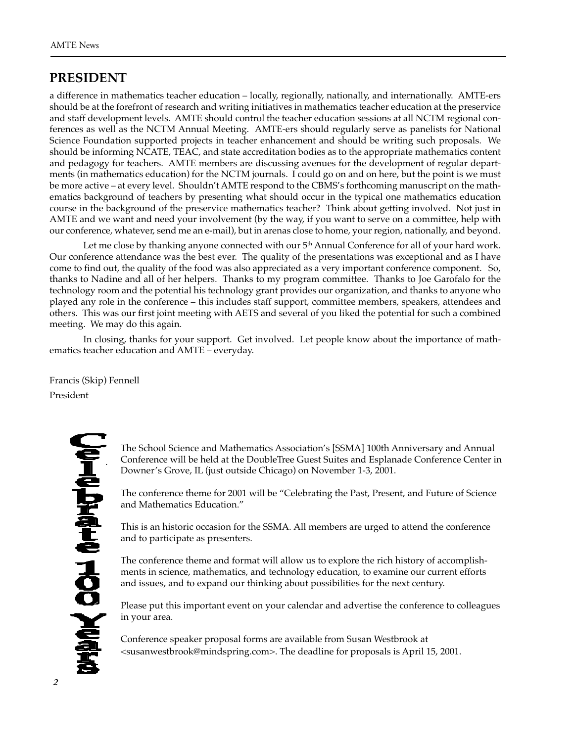### **PRESIDENT**

a difference in mathematics teacher education – locally, regionally, nationally, and internationally. AMTE-ers should be at the forefront of research and writing initiatives in mathematics teacher education at the preservice and staff development levels. AMTE should control the teacher education sessions at all NCTM regional conferences as well as the NCTM Annual Meeting. AMTE-ers should regularly serve as panelists for National Science Foundation supported projects in teacher enhancement and should be writing such proposals. We should be informing NCATE, TEAC, and state accreditation bodies as to the appropriate mathematics content and pedagogy for teachers. AMTE members are discussing avenues for the development of regular departments (in mathematics education) for the NCTM journals. I could go on and on here, but the point is we must be more active – at every level. Shouldn't AMTE respond to the CBMS's forthcoming manuscript on the mathematics background of teachers by presenting what should occur in the typical one mathematics education course in the background of the preservice mathematics teacher? Think about getting involved. Not just in AMTE and we want and need your involvement (by the way, if you want to serve on a committee, help with our conference, whatever, send me an e-mail), but in arenas close to home, your region, nationally, and beyond.

Let me close by thanking anyone connected with our  $5<sup>th</sup>$  Annual Conference for all of your hard work. Our conference attendance was the best ever. The quality of the presentations was exceptional and as I have come to find out, the quality of the food was also appreciated as a very important conference component. So, thanks to Nadine and all of her helpers. Thanks to my program committee. Thanks to Joe Garofalo for the technology room and the potential his technology grant provides our organization, and thanks to anyone who played any role in the conference – this includes staff support, committee members, speakers, attendees and others. This was our first joint meeting with AETS and several of you liked the potential for such a combined meeting. We may do this again.

In closing, thanks for your support. Get involved. Let people know about the importance of mathematics teacher education and AMTE – everyday.

Francis (Skip) Fennell President

.

The School Science and Mathematics Association's [SSMA] 100th Anniversary and Annual Conference will be held at the DoubleTree Guest Suites and Esplanade Conference Center in Downer's Grove, IL (just outside Chicago) on November 1-3, 2001.

The conference theme for 2001 will be "Celebrating the Past, Present, and Future of Science and Mathematics Education."

This is an historic occasion for the SSMA. All members are urged to attend the conference and to participate as presenters.

The conference theme and format will allow us to explore the rich history of accomplishments in science, mathematics, and technology education, to examine our current efforts and issues, and to expand our thinking about possibilities for the next century.

Please put this important event on your calendar and advertise the conference to colleagues in your area.

Conference speaker proposal forms are available from Susan Westbrook at <susanwestbrook@mindspring.com>. The deadline for proposals is April 15, 2001.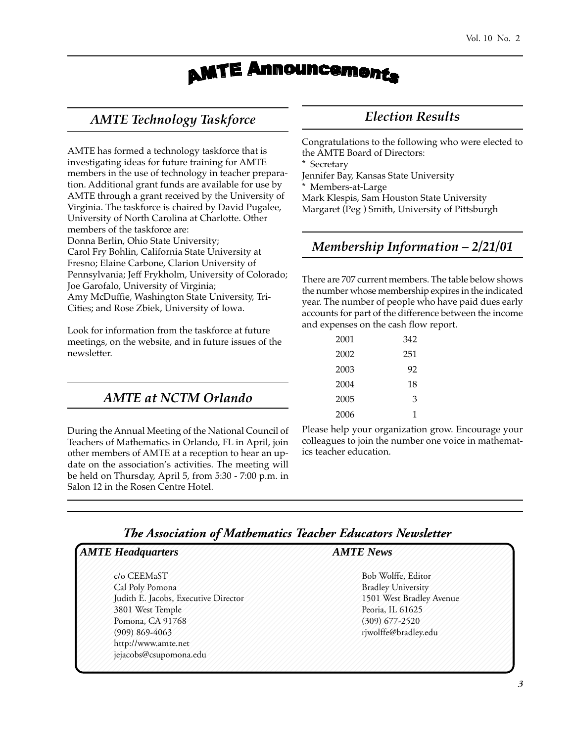## **AMTE Announcements**

### *AMTE Technology Taskforce*

AMTE has formed a technology taskforce that is investigating ideas for future training for AMTE members in the use of technology in teacher preparation. Additional grant funds are available for use by AMTE through a grant received by the University of Virginia. The taskforce is chaired by David Pugalee, University of North Carolina at Charlotte. Other members of the taskforce are: Donna Berlin, Ohio State University; Carol Fry Bohlin, California State University at Fresno; Elaine Carbone, Clarion University of Pennsylvania; Jeff Frykholm, University of Colorado; Joe Garofalo, University of Virginia; Amy McDuffie, Washington State University, Tri-Cities; and Rose Zbiek, University of Iowa.

Look for information from the taskforce at future meetings, on the website, and in future issues of the newsletter.

### *AMTE at NCTM Orlando*

During the Annual Meeting of the National Council of Teachers of Mathematics in Orlando, FL in April, join other members of AMTE at a reception to hear an update on the association's activities. The meeting will be held on Thursday, April 5, from 5:30 - 7:00 p.m. in Salon 12 in the Rosen Centre Hotel.

### *Election Results*

Congratulations to the following who were elected to the AMTE Board of Directors:

Secretary

Jennifer Bay, Kansas State University

Members-at-Large

Mark Klespis, Sam Houston State University Margaret (Peg ) Smith, University of Pittsburgh

### *Membership Information – 2/21/01*

There are 707 current members. The table below shows the number whose membership expires in the indicated year. The number of people who have paid dues early accounts for part of the difference between the income and expenses on the cash flow report.

| 2001 | 342 |
|------|-----|
| 2002 | 251 |
| 2003 | 92  |
| 2004 | 18  |
| 2005 | 3   |
| 2006 | 1   |
|      |     |

Please help your organization grow. Encourage your colleagues to join the number one voice in mathematics teacher education.

### 12345678901234567890123456789012123456789012345678901234567890121234567890123456789012345 *The Association of Mathematics Teacher Educators Newsletter*

| <b>AMTE</b> Headquarters             | <b>AMTE News</b>          |
|--------------------------------------|---------------------------|
| c/o CEEMaST                          | Bob Wolffe, Editor        |
| Cal Poly Pomona                      | <b>Bradley University</b> |
| Judith E. Jacobs, Executive Director | 1501 West Bradley Avenue  |
| 3801 West Temple                     | Peoria, IL 61625          |
| Pomona, CA 91768                     | $(309)$ 677-2520          |
| $(909)$ 869-4063                     | rjwolffe@bradley.edu      |
| http://www.amte.net                  |                           |
| jejacobs@csupomona.edu               |                           |

12345678901234567890123456789012123456789012345678901234567890121234567890123456789012345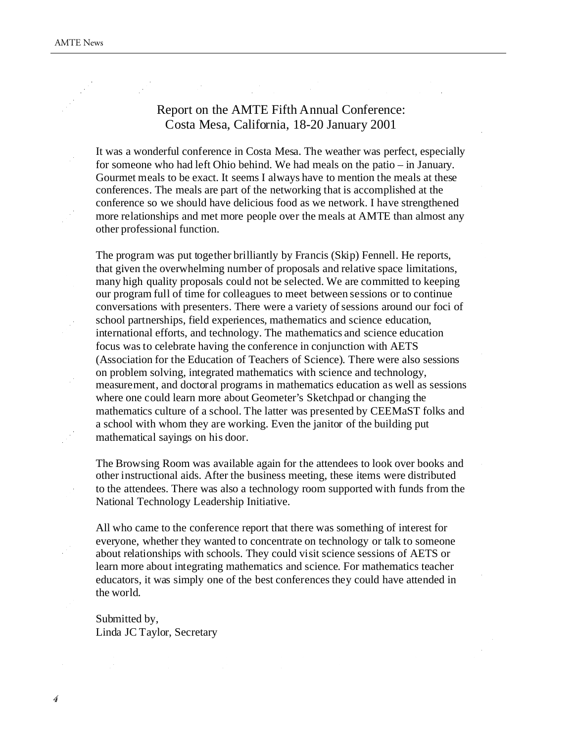### Report on the AMTE Fifth Annual Conference: Costa Mesa, California, 18-20 January 2001

It was a wonderful conference in Costa Mesa. The weather was perfect, especially for someone who had left Ohio behind. We had meals on the patio – in January. Gourmet meals to be exact. It seems I always have to mention the meals at these conferences. The meals are part of the networking that is accomplished at the conference so we should have delicious food as we network. I have strengthened more relationships and met more people over the meals at AMTE than almost any other professional function.

The program was put together brilliantly by Francis (Skip) Fennell. He reports, that given the overwhelming number of proposals and relative space limitations, many high quality proposals could not be selected. We are committed to keeping our program full of time for colleagues to meet between sessions or to continue conversations with presenters. There were a variety of sessions around our foci of school partnerships, field experiences, mathematics and science education, international efforts, and technology. The mathematics and science education focus was to celebrate having the conference in conjunction with AETS (Association for the Education of Teachers of Science). There were also sessions on problem solving, integrated mathematics with science and technology, measurement, and doctoral programs in mathematics education as well as sessions where one could learn more about Geometer's Sketchpad or changing the mathematics culture of a school. The latter was presented by CEEMaST folks and a school with whom they are working. Even the janitor of the building put mathematical sayings on his door.

The Browsing Room was available again for the attendees to look over books and other instructional aids. After the business meeting, these items were distributed to the attendees. There was also a technology room supported with funds from the National Technology Leadership Initiative.

All who came to the conference report that there was something of interest for everyone, whether they wanted to concentrate on technology or talk to someone about relationships with schools. They could visit science sessions of AETS or learn more about integrating mathematics and science. For mathematics teacher educators, it was simply one of the best conferences they could have attended in the world.

Submitted by, Linda JC Taylor, Secretary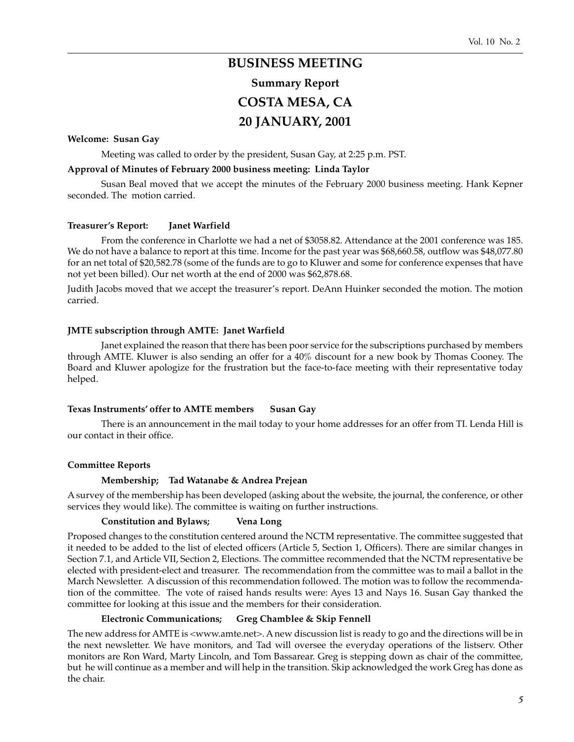# **BUSINESS MEETING Summary Report**

### **COSTA MESA, CA 20 JANUARY, 2001**

### **Welcome: Susan Gay**

Meeting was called to order by the president, Susan Gay, at 2:25 p.m. PST.

#### **Approval of Minutes of February 2000 business meeting: Linda Taylor**

Susan Beal moved that we accept the minutes of the February 2000 business meeting. Hank Kepner seconded. The motion carried.

#### **Treasurer's Report: Janet Warfield**

From the conference in Charlotte we had a net of \$3058.82. Attendance at the 2001 conference was 185. We do not have a balance to report at this time. Income for the past year was \$68,660.58, outflow was \$48,077.80 for an net total of \$20,582.78 (some of the funds are to go to Kluwer and some for conference expenses that have not yet been billed). Our net worth at the end of 2000 was \$62,878.68.

Judith Jacobs moved that we accept the treasurer's report. DeAnn Huinker seconded the motion. The motion carried.

#### **JMTE subscription through AMTE: Janet Warfield**

Janet explained the reason that there has been poor service for the subscriptions purchased by members through AMTE. Kluwer is also sending an offer for a 40% discount for a new book by Thomas Cooney. The Board and Kluwer apologize for the frustration but the face-to-face meeting with their representative today helped.

#### **Texas Instruments' offer to AMTE members Susan Gay**

There is an announcement in the mail today to your home addresses for an offer from TI. Lenda Hill is our contact in their office.

#### **Committee Reports**

#### **Membership; Tad Watanabe & Andrea Prejean**

A survey of the membership has been developed (asking about the website, the journal, the conference, or other services they would like). The committee is waiting on further instructions.

#### **Constitution and Bylaws; Vena Long**

Proposed changes to the constitution centered around the NCTM representative. The committee suggested that it needed to be added to the list of elected officers (Article 5, Section 1, Officers). There are similar changes in Section 7.1, and Article VII, Section 2, Elections. The committee recommended that the NCTM representative be elected with president-elect and treasurer. The recommendation from the committee was to mail a ballot in the March Newsletter. A discussion of this recommendation followed. The motion was to follow the recommendation of the committee. The vote of raised hands results were: Ayes 13 and Nays 16. Susan Gay thanked the committee for looking at this issue and the members for their consideration.

#### **Electronic Communications; Greg Chamblee & Skip Fennell**

The new address for AMTE is <www.amte.net>. A new discussion list is ready to go and the directions will be in the next newsletter. We have monitors, and Tad will oversee the everyday operations of the listserv. Other monitors are Ron Ward, Marty Lincoln, and Tom Bassarear. Greg is stepping down as chair of the committee, but he will continue as a member and will help in the transition. Skip acknowledged the work Greg has done as the chair.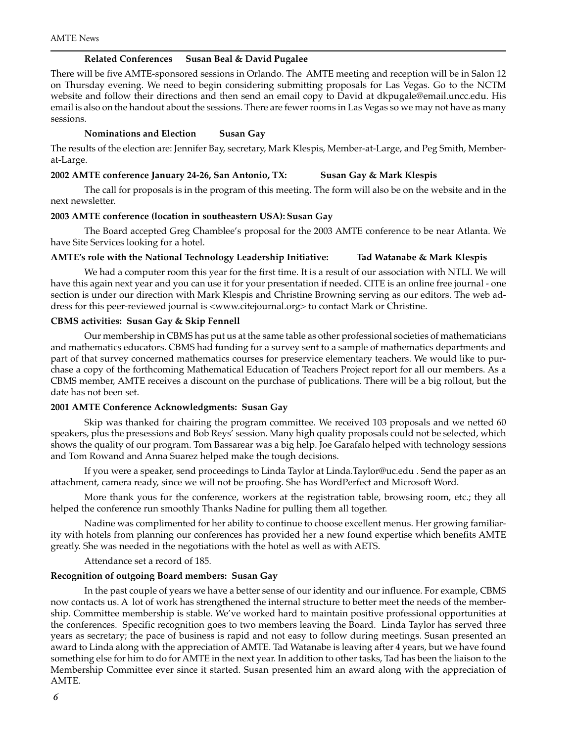#### **Related Conferences Susan Beal & David Pugalee**

There will be five AMTE-sponsored sessions in Orlando. The AMTE meeting and reception will be in Salon 12 on Thursday evening. We need to begin considering submitting proposals for Las Vegas. Go to the NCTM website and follow their directions and then send an email copy to David at dkpugale@email.uncc.edu. His email is also on the handout about the sessions. There are fewer rooms in Las Vegas so we may not have as many sessions.

#### **Nominations and Election Susan Gay**

The results of the election are: Jennifer Bay, secretary, Mark Klespis, Member-at-Large, and Peg Smith, Memberat-Large.

#### **2002 AMTE conference January 24-26, San Antonio, TX: Susan Gay & Mark Klespis**

The call for proposals is in the program of this meeting. The form will also be on the website and in the next newsletter.

#### **2003 AMTE conference (location in southeastern USA): Susan Gay**

The Board accepted Greg Chamblee's proposal for the 2003 AMTE conference to be near Atlanta. We have Site Services looking for a hotel.

#### **AMTE's role with the National Technology Leadership Initiative: Tad Watanabe & Mark Klespis**

We had a computer room this year for the first time. It is a result of our association with NTLI. We will have this again next year and you can use it for your presentation if needed. CITE is an online free journal - one section is under our direction with Mark Klespis and Christine Browning serving as our editors. The web address for this peer-reviewed journal is <www.citejournal.org> to contact Mark or Christine.

#### **CBMS activities: Susan Gay & Skip Fennell**

Our membership in CBMS has put us at the same table as other professional societies of mathematicians and mathematics educators. CBMS had funding for a survey sent to a sample of mathematics departments and part of that survey concerned mathematics courses for preservice elementary teachers. We would like to purchase a copy of the forthcoming Mathematical Education of Teachers Project report for all our members. As a CBMS member, AMTE receives a discount on the purchase of publications. There will be a big rollout, but the date has not been set.

#### **2001 AMTE Conference Acknowledgments: Susan Gay**

Skip was thanked for chairing the program committee. We received 103 proposals and we netted 60 speakers, plus the presessions and Bob Reys' session. Many high quality proposals could not be selected, which shows the quality of our program. Tom Bassarear was a big help. Joe Garafalo helped with technology sessions and Tom Rowand and Anna Suarez helped make the tough decisions.

If you were a speaker, send proceedings to Linda Taylor at Linda.Taylor@uc.edu . Send the paper as an attachment, camera ready, since we will not be proofing. She has WordPerfect and Microsoft Word.

More thank yous for the conference, workers at the registration table, browsing room, etc.; they all helped the conference run smoothly Thanks Nadine for pulling them all together.

Nadine was complimented for her ability to continue to choose excellent menus. Her growing familiarity with hotels from planning our conferences has provided her a new found expertise which benefits AMTE greatly. She was needed in the negotiations with the hotel as well as with AETS.

#### Attendance set a record of 185.

#### **Recognition of outgoing Board members: Susan Gay**

In the past couple of years we have a better sense of our identity and our influence. For example, CBMS now contacts us. A lot of work has strengthened the internal structure to better meet the needs of the membership. Committee membership is stable. We've worked hard to maintain positive professional opportunities at the conferences. Specific recognition goes to two members leaving the Board. Linda Taylor has served three years as secretary; the pace of business is rapid and not easy to follow during meetings. Susan presented an award to Linda along with the appreciation of AMTE. Tad Watanabe is leaving after 4 years, but we have found something else for him to do for AMTE in the next year. In addition to other tasks, Tad has been the liaison to the Membership Committee ever since it started. Susan presented him an award along with the appreciation of AMTE.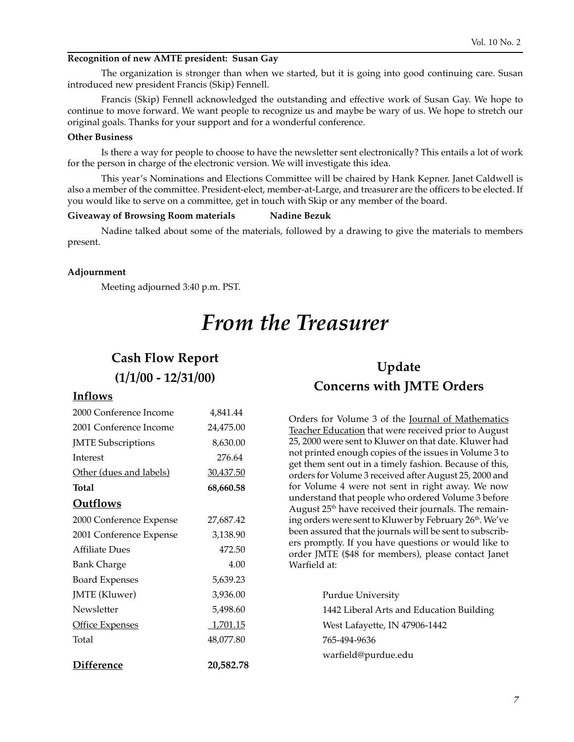#### **Recognition of new AMTE president: Susan Gay**

The organization is stronger than when we started, but it is going into good continuing care. Susan introduced new president Francis (Skip) Fennell.

Francis (Skip) Fennell acknowledged the outstanding and effective work of Susan Gay. We hope to continue to move forward. We want people to recognize us and maybe be wary of us. We hope to stretch our original goals. Thanks for your support and for a wonderful conference.

#### **Other Business**

Is there a way for people to choose to have the newsletter sent electronically? This entails a lot of work for the person in charge of the electronic version. We will investigate this idea.

This year's Nominations and Elections Committee will be chaired by Hank Kepner. Janet Caldwell is also a member of the committee. President-elect, member-at-Large, and treasurer are the officers to be elected. If you would like to serve on a committee, get in touch with Skip or any member of the board.

#### **Giveaway of Browsing Room materials Nadine Bezuk**

Nadine talked about some of the materials, followed by a drawing to give the materials to members present.

#### **Adjournment**

Meeting adjourned 3:40 p.m. PST.

# *From the Treasurer*

### **Cash Flow Report**

### **(1/1/00 - 12/31/00)**

#### **Inflows**

| 4,841.44  |
|-----------|
| 24,475.00 |
| 8,630.00  |
| 276.64    |
| 30,437.50 |
| 68,660.58 |
|           |
| 27,687.42 |
| 3,138.90  |
| 472.50    |
| 4.00      |
| 5,639.23  |
| 3,936.00  |
| 5,498.60  |
| 1,701.15  |
| 48,077.80 |
| 20,582.78 |
|           |

### **Update Concerns with JMTE Orders**

Orders for Volume 3 of the Journal of Mathematics Teacher Education that were received prior to August 25, 2000 were sent to Kluwer on that date. Kluwer had not printed enough copies of the issues in Volume 3 to get them sent out in a timely fashion. Because of this, orders for Volume 3 received after August 25, 2000 and for Volume 4 were not sent in right away. We now understand that people who ordered Volume 3 before August 25<sup>th</sup> have received their journals. The remaining orders were sent to Kluwer by February 26<sup>th</sup>. We've been assured that the journals will be sent to subscribers promptly. If you have questions or would like to order JMTE (\$48 for members), please contact Janet Warfield at:

> Purdue University 1442 Liberal Arts and Education Building West Lafayette, IN 47906-1442 765-494-9636 warfield@purdue.edu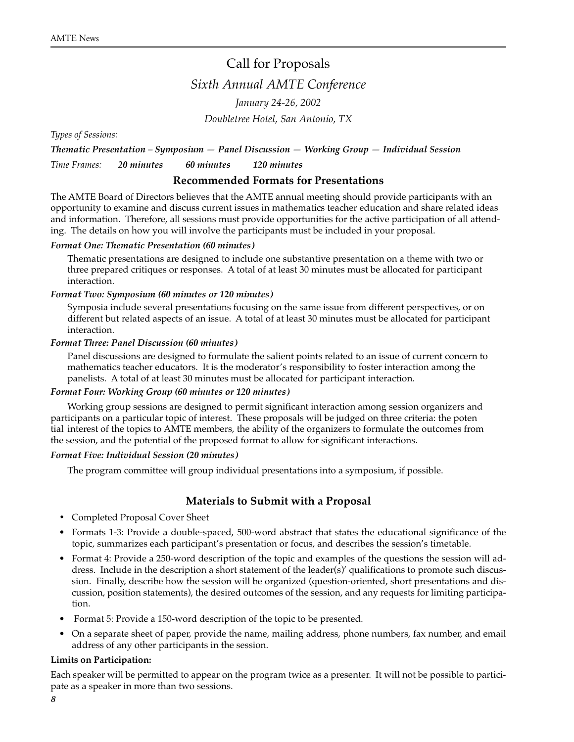### Call for Proposals

*Sixth Annual AMTE Conference*

*January 24-26, 2002 Doubletree Hotel, San Antonio, TX*

*Types of Sessions:*

*Thematic Presentation – Symposium — Panel Discussion — Working Group — Individual Session Time Frames: 20 minutes 60 minutes 120 minutes*

#### **Recommended Formats for Presentations**

The AMTE Board of Directors believes that the AMTE annual meeting should provide participants with an opportunity to examine and discuss current issues in mathematics teacher education and share related ideas and information. Therefore, all sessions must provide opportunities for the active participation of all attending. The details on how you will involve the participants must be included in your proposal.

#### *Format One: Thematic Presentation (60 minutes)*

Thematic presentations are designed to include one substantive presentation on a theme with two or three prepared critiques or responses. A total of at least 30 minutes must be allocated for participant interaction.

#### *Format Two: Symposium (60 minutes or 120 minutes)*

Symposia include several presentations focusing on the same issue from different perspectives, or on different but related aspects of an issue. A total of at least 30 minutes must be allocated for participant interaction.

#### *Format Three: Panel Discussion (60 minutes)*

Panel discussions are designed to formulate the salient points related to an issue of current concern to mathematics teacher educators. It is the moderator's responsibility to foster interaction among the panelists. A total of at least 30 minutes must be allocated for participant interaction.

#### *Format Four: Working Group (60 minutes or 120 minutes)*

Working group sessions are designed to permit significant interaction among session organizers and participants on a particular topic of interest. These proposals will be judged on three criteria: the poten tial interest of the topics to AMTE members, the ability of the organizers to formulate the outcomes from the session, and the potential of the proposed format to allow for significant interactions.

#### *Format Five: Individual Session (20 minutes)*

The program committee will group individual presentations into a symposium, if possible.

#### **Materials to Submit with a Proposal**

- *•* Completed Proposal Cover Sheet
- Formats 1-3: Provide a double-spaced, 500-word abstract that states the educational significance of the topic, summarizes each participant's presentation or focus, and describes the session's timetable.
- Format 4: Provide a 250-word description of the topic and examples of the questions the session will address. Include in the description a short statement of the leader(s)' qualifications to promote such discussion. Finally, describe how the session will be organized (question-oriented, short presentations and discussion, position statements), the desired outcomes of the session, and any requests for limiting participation.
- Format 5: Provide a 150-word description of the topic to be presented.
- On a separate sheet of paper, provide the name, mailing address, phone numbers, fax number, and email address of any other participants in the session.

#### **Limits on Participation:**

Each speaker will be permitted to appear on the program twice as a presenter. It will not be possible to participate as a speaker in more than two sessions.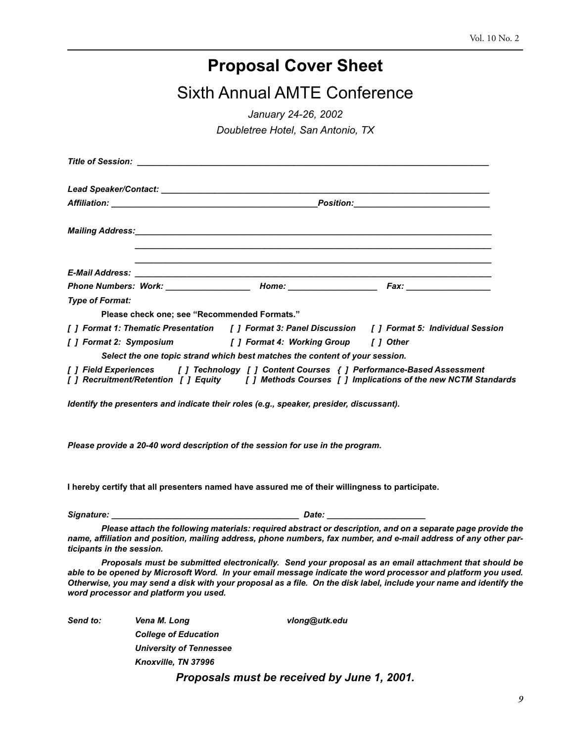## **Proposal Cover Sheet**

Sixth Annual AMTE Conference

*January 24-26, 2002*

*Doubletree Hotel, San Antonio, TX*

|                        | <u> 1989 - Johann Stoff, amerikansk politiker (d. 1989)</u><br>,我们也不能在这里的时候,我们也不能在这里的时候,我们也不能在这里的时候,我们也不能会在这里的时候,我们也不能会在这里的时候,我们也不能会在这里的时候,我们也不                                              |  |
|------------------------|----------------------------------------------------------------------------------------------------------------------------------------------------------------------------------------------|--|
|                        | Phone Numbers: Work: ___________________ Home: __________________________________                                                                                                            |  |
| <b>Type of Format:</b> |                                                                                                                                                                                              |  |
|                        | Please check one; see "Recommended Formats."                                                                                                                                                 |  |
|                        | [ ] Format 1: Thematic Presentation [ ] Format 3: Panel Discussion [ ] Format 5: Individual Session                                                                                          |  |
|                        | [ ] Format 2: Symposium [ ] Format 4: Working Group [ ] Other                                                                                                                                |  |
|                        | Select the one topic strand which best matches the content of your session.                                                                                                                  |  |
|                        | [ ] Field Experiences [ ] Technology [ ] Content Courses { ] Performance-Based Assessment<br>[] Recruitment/Retention [] Equity [] Methods Courses [] Implications of the new NCTM Standards |  |
|                        | Identify the presenters and indicate their roles (e.g., speaker, presider, discussant).                                                                                                      |  |
|                        | Please provide a 20-40 word description of the session for use in the program.                                                                                                               |  |

**I hereby certify that all presenters named have assured me of their willingness to participate.**

| Signature: | ----<br>alc |  |
|------------|-------------|--|
|            |             |  |

**Please attach the following materials: required abstract or description, and on a separate page provide the name, affiliation and position, mailing address, phone numbers, fax number, and e-mail address of any other participants in the session.**

**Proposals must be submitted electronically. Send your proposal as an email attachment that should be able to be opened by Microsoft Word. In your email message indicate the word processor and platform you used. Otherwise, you may send a disk with your proposal as a file. On the disk label, include your name and identify the word processor and platform you used.**

| Send to: | Vena M. Long                | vlong@utk.edu                  |  |
|----------|-----------------------------|--------------------------------|--|
|          | <b>College of Education</b> |                                |  |
|          | University of Tennessee     |                                |  |
|          | Knoxville, TN 37996         |                                |  |
|          |                             | 8 / // // // // // <i>4 AA</i> |  |

**Proposals must be received by June 1, 2001.**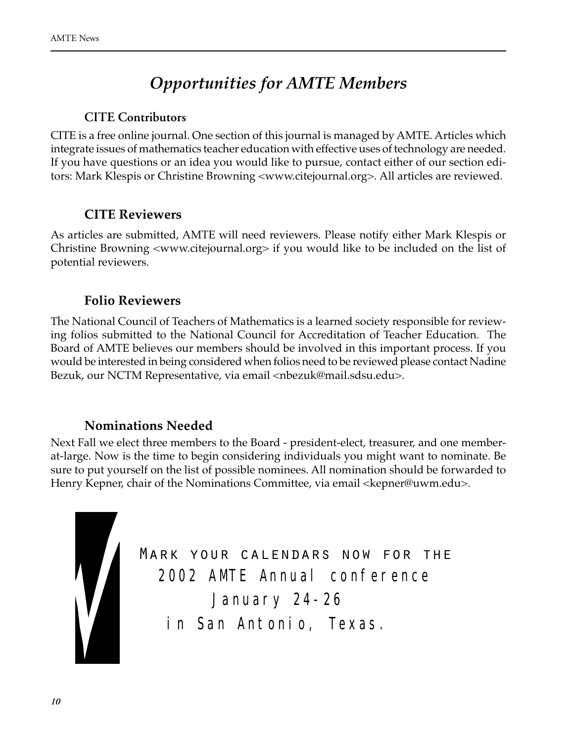# *Opportunities for AMTE Members*

### **CITE Contributors**

CITE is a free online journal. One section of this journal is managed by AMTE. Articles which integrate issues of mathematics teacher education with effective uses of technology are needed. If you have questions or an idea you would like to pursue, contact either of our section editors: Mark Klespis or Christine Browning <www.citejournal.org>. All articles are reviewed.

### **CITE Reviewers**

As articles are submitted, AMTE will need reviewers. Please notify either Mark Klespis or Christine Browning <www.citejournal.org> if you would like to be included on the list of potential reviewers.

### **Folio Reviewers**

The National Council of Teachers of Mathematics is a learned society responsible for reviewing folios submitted to the National Council for Accreditation of Teacher Education. The Board of AMTE believes our members should be involved in this important process. If you would be interested in being considered when folios need to be reviewed please contact Nadine Bezuk, our NCTM Representative, via email <nbezuk@mail.sdsu.edu>.

### **Nominations Needed**

Next Fall we elect three members to the Board - president-elect, treasurer, and one memberat-large. Now is the time to begin considering individuals you might want to nominate. Be sure to put yourself on the list of possible nominees. All nomination should be forwarded to Henry Kepner, chair of the Nominations Committee, via email <kepner@uwm.edu>.



Mark your calendars now for the *2002 AMTE Annual conference January 24-26 in San Antonio, Texas.*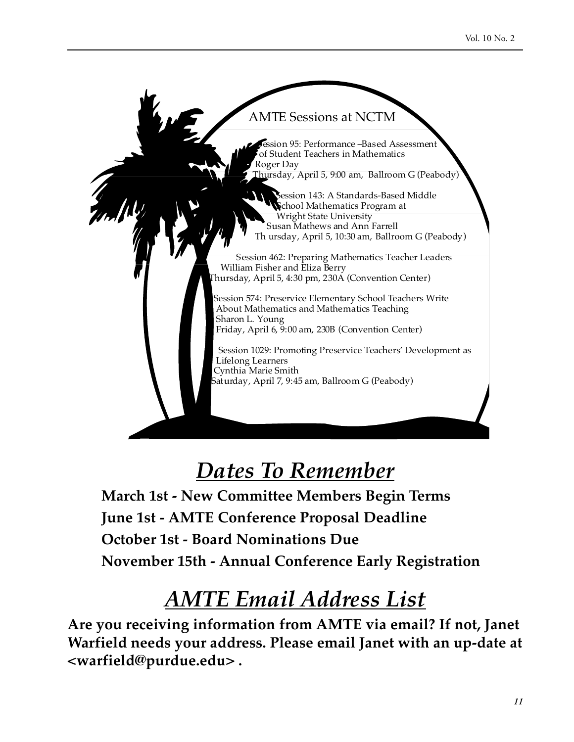

# *Dates To Remember*

**March 1st - New Committee Members Begin Terms June 1st - AMTE Conference Proposal Deadline October 1st - Board Nominations Due November 15th - Annual Conference Early Registration**

# *AMTE Email Address List*

**Are you receiving information from AMTE via email? If not, Janet Warfield needs your address. Please email Janet with an up-date at <warfield@purdue.edu> .**